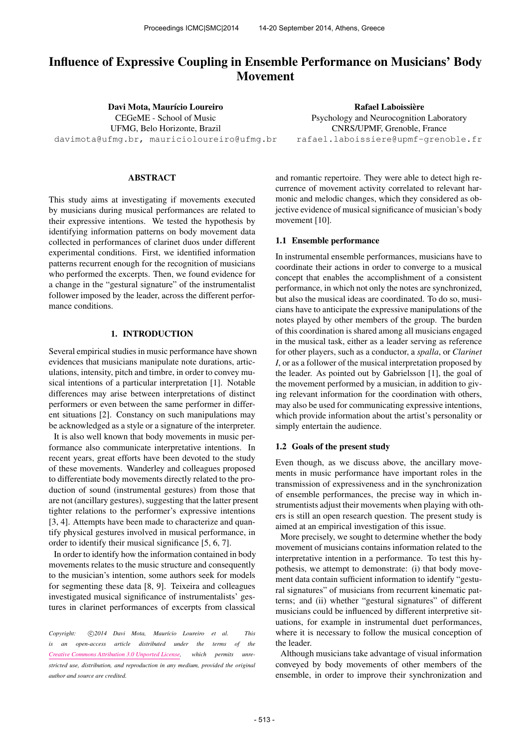# Influence of Expressive Coupling in Ensemble Performance on Musicians' Body Movement

Davi Mota, Maurício Loureiro CEGeME - School of Music UFMG, Belo Horizonte, Brazil [davimota@ufmg.br, mauricioloureiro@ufmg.br](mailto:davimota@ufmg.br, mailto:mauricioloureiro@ufmg.br)

## ABSTRACT

This study aims at investigating if movements executed by musicians during musical performances are related to their expressive intentions. We tested the hypothesis by identifying information patterns on body movement data collected in performances of clarinet duos under different experimental conditions. First, we identified information patterns recurrent enough for the recognition of musicians who performed the excerpts. Then, we found evidence for a change in the "gestural signature" of the instrumentalist follower imposed by the leader, across the different performance conditions.

## 1. INTRODUCTION

Several empirical studies in music performance have shown evidences that musicians manipulate note durations, articulations, intensity, pitch and timbre, in order to convey musical intentions of a particular interpretation [1]. Notable differences may arise between interpretations of distinct performers or even between the same performer in different situations [2]. Constancy on such manipulations may be acknowledged as a style or a signature of the interpreter.

It is also well known that body movements in music performance also communicate interpretative intentions. In recent years, great efforts have been devoted to the study of these movements. Wanderley and colleagues proposed to differentiate body movements directly related to the production of sound (instrumental gestures) from those that are not (ancillary gestures), suggesting that the latter present tighter relations to the performer's expressive intentions [3, 4]. Attempts have been made to characterize and quantify physical gestures involved in musical performance, in order to identify their musical significance [5, 6, 7].

In order to identify how the information contained in body movements relates to the music structure and consequently to the musician's intention, some authors seek for models for segmenting these data [8, 9]. Teixeira and colleagues investigated musical significance of instrumentalists' gestures in clarinet performances of excerpts from classical

Copyright:  $\bigcirc$ 2014 Davi Mota, Maurício Loureiro et al. This *is an open-access article distributed under the terms of the [Creative Commons Attribution 3.0 Unported License,](http://creativecommons.org/licenses/by/3.0/) which permits unrestricted use, distribution, and reproduction in any medium, provided the original author and source are credited.*

and romantic repertoire. They were able to detect high recurrence of movement activity correlated to relevant harmonic and melodic changes, which they considered as objective evidence of musical significance of musician's body movement [10].

Rafael Laboissière Psychology and Neurocognition Laboratory CNRS/UPMF, Grenoble, France [rafael.laboissiere@upmf-grenoble.fr](mailto:rafael.laboissiere@upmf-grenoble.fr)

#### 1.1 Ensemble performance

In instrumental ensemble performances, musicians have to coordinate their actions in order to converge to a musical concept that enables the accomplishment of a consistent performance, in which not only the notes are synchronized, but also the musical ideas are coordinated. To do so, musicians have to anticipate the expressive manipulations of the notes played by other members of the group. The burden of this coordination is shared among all musicians engaged in the musical task, either as a leader serving as reference for other players, such as a conductor, a *spalla*, or *Clarinet I*, or as a follower of the musical interpretation proposed by the leader. As pointed out by Gabrielsson [1], the goal of the movement performed by a musician, in addition to giving relevant information for the coordination with others, may also be used for communicating expressive intentions, which provide information about the artist's personality or simply entertain the audience.

#### 1.2 Goals of the present study

Even though, as we discuss above, the ancillary movements in music performance have important roles in the transmission of expressiveness and in the synchronization of ensemble performances, the precise way in which instrumentists adjust their movements when playing with others is still an open research question. The present study is aimed at an empirical investigation of this issue.

More precisely, we sought to determine whether the body movement of musicians contains information related to the interpretative intention in a performance. To test this hypothesis, we attempt to demonstrate: (i) that body movement data contain sufficient information to identify "gestural signatures" of musicians from recurrent kinematic patterns; and (ii) whether "gestural signatures" of different musicians could be influenced by different interpretive situations, for example in instrumental duet performances, where it is necessary to follow the musical conception of the leader.

Although musicians take advantage of visual information conveyed by body movements of other members of the ensemble, in order to improve their synchronization and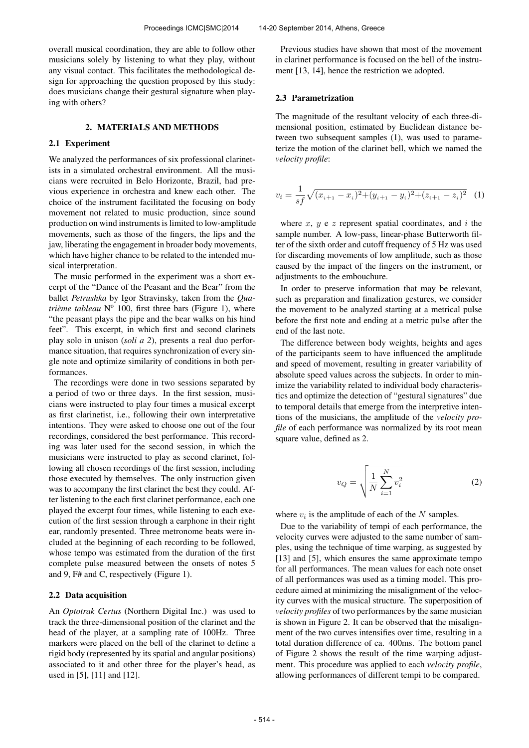overall musical coordination, they are able to follow other musicians solely by listening to what they play, without any visual contact. This facilitates the methodological design for approaching the question proposed by this study: does musicians change their gestural signature when playing with others?

#### 2. MATERIALS AND METHODS

#### 2.1 Experiment

We analyzed the performances of six professional clarinetists in a simulated orchestral environment. All the musicians were recruited in Belo Horizonte, Brazil, had previous experience in orchestra and knew each other. The choice of the instrument facilitated the focusing on body movement not related to music production, since sound production on wind instruments is limited to low-amplitude movements, such as those of the fingers, the lips and the jaw, liberating the engagement in broader body movements, which have higher chance to be related to the intended musical interpretation.

The music performed in the experiment was a short excerpt of the "Dance of the Peasant and the Bear" from the ballet *Petrushka* by Igor Stravinsky, taken from the *Qua*trième tableau Nº 100, first three bars (Figure 1), where "the peasant plays the pipe and the bear walks on his hind feet". This excerpt, in which first and second clarinets play solo in unison (*soli a 2*), presents a real duo performance situation, that requires synchronization of every single note and optimize similarity of conditions in both performances.

The recordings were done in two sessions separated by a period of two or three days. In the first session, musicians were instructed to play four times a musical excerpt as first clarinetist, i.e., following their own interpretative intentions. They were asked to choose one out of the four recordings, considered the best performance. This recording was later used for the second session, in which the musicians were instructed to play as second clarinet, following all chosen recordings of the first session, including those executed by themselves. The only instruction given was to accompany the first clarinet the best they could. After listening to the each first clarinet performance, each one played the excerpt four times, while listening to each execution of the first session through a earphone in their right ear, randomly presented. Three metronome beats were included at the beginning of each recording to be followed, whose tempo was estimated from the duration of the first complete pulse measured between the onsets of notes 5 and 9, F# and C, respectively (Figure 1).

#### 2.2 Data acquisition

An *Optotrak Certus* (Northern Digital Inc.) was used to track the three-dimensional position of the clarinet and the head of the player, at a sampling rate of 100Hz. Three markers were placed on the bell of the clarinet to define a rigid body (represented by its spatial and angular positions) associated to it and other three for the player's head, as used in [5], [11] and [12].

Previous studies have shown that most of the movement in clarinet performance is focused on the bell of the instrument [13, 14], hence the restriction we adopted.

#### 2.3 Parametrization

The magnitude of the resultant velocity of each three-dimensional position, estimated by Euclidean distance between two subsequent samples (1), was used to parameterize the motion of the clarinet bell, which we named the *velocity profile*:

$$
v_i = \frac{1}{sf}\sqrt{(x_{i+1} - x_i)^2 + (y_{i+1} - y_i)^2 + (z_{i+1} - z_i)^2}
$$
 (1)

where  $x, y$  e  $z$  represent spatial coordinates, and  $i$  the sample number. A low-pass, linear-phase Butterworth filter of the sixth order and cutoff frequency of 5 Hz was used for discarding movements of low amplitude, such as those caused by the impact of the fingers on the instrument, or adjustments to the embouchure.

In order to preserve information that may be relevant, such as preparation and finalization gestures, we consider the movement to be analyzed starting at a metrical pulse before the first note and ending at a metric pulse after the end of the last note.

The difference between body weights, heights and ages of the participants seem to have influenced the amplitude and speed of movement, resulting in greater variability of absolute speed values across the subjects. In order to minimize the variability related to individual body characteristics and optimize the detection of "gestural signatures" due to temporal details that emerge from the interpretive intentions of the musicians, the amplitude of the *velocity profile* of each performance was normalized by its root mean square value, defined as 2.

$$
v_Q = \sqrt{\frac{1}{N} \sum_{i=1}^{N} v_i^2}
$$
 (2)

where  $v_i$  is the amplitude of each of the N samples.

Due to the variability of tempi of each performance, the velocity curves were adjusted to the same number of samples, using the technique of time warping, as suggested by [13] and [5], which ensures the same approximate tempo for all performances. The mean values for each note onset of all performances was used as a timing model. This procedure aimed at minimizing the misalignment of the velocity curves with the musical structure. The superposition of *velocity profiles* of two performances by the same musician is shown in Figure 2. It can be observed that the misalignment of the two curves intensifies over time, resulting in a total duration difference of ca. 400ms. The bottom panel of Figure 2 shows the result of the time warping adjustment. This procedure was applied to each *velocity profile*, allowing performances of different tempi to be compared.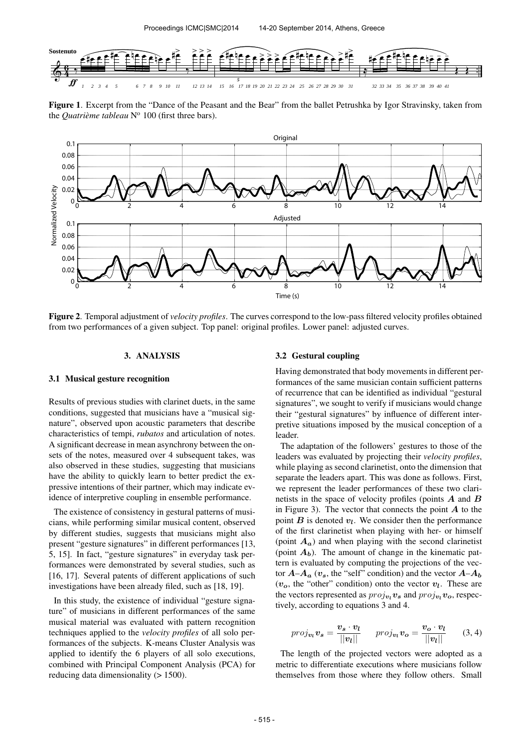

Figure 1. Excerpt from the "Dance of the Peasant and the Bear" from the ballet Petrushka by Igor Stravinsky, taken from the *Quatrième tableau* N<sup>o</sup> 100 (first three bars).



Figure 2. Temporal adjustment of *velocity profiles*. The curves correspond to the low-pass filtered velocity profiles obtained from two performances of a given subject. Top panel: original profiles. Lower panel: adjusted curves.

#### 3. ANALYSIS

# 3.1 Musical gesture recognition

Results of previous studies with clarinet duets, in the same conditions, suggested that musicians have a "musical signature", observed upon acoustic parameters that describe characteristics of tempi, *rubatos* and articulation of notes. A significant decrease in mean asynchrony between the onsets of the notes, measured over 4 subsequent takes, was also observed in these studies, suggesting that musicians have the ability to quickly learn to better predict the expressive intentions of their partner, which may indicate evidence of interpretive coupling in ensemble performance.

The existence of consistency in gestural patterns of musicians, while performing similar musical content, observed by different studies, suggests that musicians might also present "gesture signatures" in different performances [13, 5, 15]. In fact, "gesture signatures" in everyday task performances were demonstrated by several studies, such as [16, 17]. Several patents of different applications of such investigations have been already filed, such as [18, 19].

In this study, the existence of individual "gesture signature" of musicians in different performances of the same musical material was evaluated with pattern recognition techniques applied to the *velocity profiles* of all solo performances of the subjects. K-means Cluster Analysis was applied to identify the 6 players of all solo executions, combined with Principal Component Analysis (PCA) for reducing data dimensionality ( $> 1500$ ).

#### 3.2 Gestural coupling

Having demonstrated that body movements in different performances of the same musician contain sufficient patterns of recurrence that can be identified as individual "gestural signatures", we sought to verify if musicians would change their "gestural signatures" by influence of different interpretive situations imposed by the musical conception of a leader.

The adaptation of the followers' gestures to those of the leaders was evaluated by projecting their *velocity profiles*, while playing as second clarinetist, onto the dimension that separate the leaders apart. This was done as follows. First, we represent the leader performances of these two clarinetists in the space of velocity profiles (points  $A$  and  $B$ in Figure 3). The vector that connects the point  $A$  to the point  $\vec{B}$  is denoted  $v_l$ . We consider then the performance of the first clarinetist when playing with her- or himself (point  $A_a$ ) and when playing with the second clarinetist (point  $A_b$ ). The amount of change in the kinematic pattern is evaluated by computing the projections of the vector  $A-A_a$  ( $v_s$ , the "self" condition) and the vector  $A-A_b$  $(v<sub>o</sub>)$ , the "other" condition) onto the vector  $v<sub>l</sub>$ . These are the vectors represented as  $proj_{v_l} v_s$  and  $proj_{v_l} v_o$ , respectively, according to equations 3 and 4.

$$
proj_{\boldsymbol{v}_l} \boldsymbol{v}_s = \frac{\boldsymbol{v}_s \cdot \boldsymbol{v}_l}{||\boldsymbol{v}_l||} \quad proj_{\boldsymbol{v}_l} \boldsymbol{v}_o = \frac{\boldsymbol{v}_o \cdot \boldsymbol{v}_l}{||\boldsymbol{v}_l||} \quad (3, 4)
$$

The length of the projected vectors were adopted as a metric to differentiate executions where musicians follow themselves from those where they follow others. Small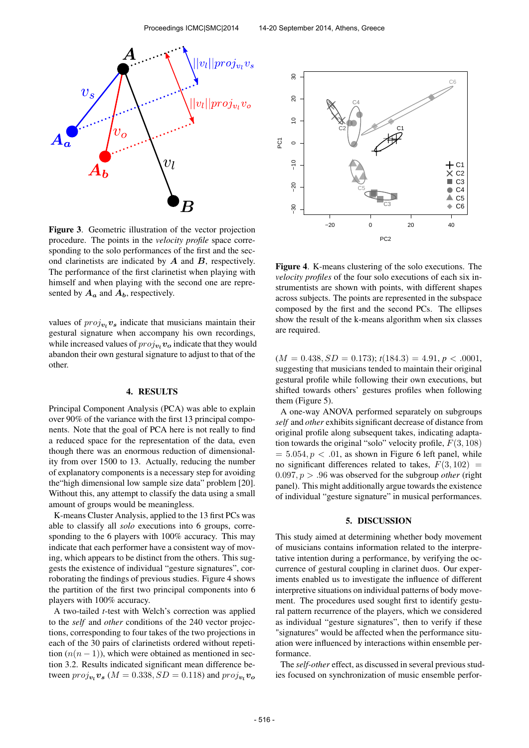

Figure 3. Geometric illustration of the vector projection procedure. The points in the *velocity profile* space corresponding to the solo performances of the first and the second clarinetists are indicated by  $A$  and  $B$ , respectively. The performance of the first clarinetist when playing with himself and when playing with the second one are represented by  $A_a$  and  $A_b$ , respectively.

values of  $proj_{v_l} v_s$  indicate that musicians maintain their gestural signature when accompany his own recordings, while increased values of  $proj_{v_l} v_o$  indicate that they would abandon their own gestural signature to adjust to that of the other.

#### 4. RESULTS

Principal Component Analysis (PCA) was able to explain over 90% of the variance with the first 13 principal components. Note that the goal of PCA here is not really to find a reduced space for the representation of the data, even though there was an enormous reduction of dimensionality from over 1500 to 13. Actually, reducing the number of explanatory components is a necessary step for avoiding the"high dimensional low sample size data" problem [20]. Without this, any attempt to classify the data using a small amount of groups would be meaningless.

K-means Cluster Analysis, applied to the 13 first PCs was able to classify all *solo* executions into 6 groups, corresponding to the 6 players with 100% accuracy. This may indicate that each performer have a consistent way of moving, which appears to be distinct from the others. This suggests the existence of individual "gesture signatures", corroborating the findings of previous studies. Figure 4 shows the partition of the first two principal components into 6 players with 100% accuracy.

A two-tailed *t*-test with Welch's correction was applied to the *self* and *other* conditions of the 240 vector projections, corresponding to four takes of the two projections in each of the 30 pairs of clarinetists ordered without repetition  $(n(n-1))$ , which were obtained as mentioned in section 3.2. Results indicated significant mean difference between  $proj_{\boldsymbol{v}_l} \boldsymbol{v}_{\boldsymbol{s}}$  ( $M = 0.338, SD = 0.118$ ) and  $proj_{\boldsymbol{v}_l} \boldsymbol{v}_o$ 



Figure 4. K-means clustering of the solo executions. The *velocity profiles* of the four solo executions of each six instrumentists are shown with points, with different shapes across subjects. The points are represented in the subspace composed by the first and the second PCs. The ellipses show the result of the k-means algorithm when six classes are required.

 $(M = 0.438, SD = 0.173); t(184.3) = 4.91, p < .0001,$ suggesting that musicians tended to maintain their original gestural profile while following their own executions, but shifted towards others' gestures profiles when following them (Figure 5).

A one-way ANOVA performed separately on subgroups *self* and *other* exhibits significant decrease of distance from original profile along subsequent takes, indicating adaptation towards the original "solo" velocity profile,  $F(3, 108)$  $= 5.054, p < .01$ , as shown in Figure 6 left panel, while no significant differences related to takes,  $F(3, 102) =$  $0.097, p > .96$  was observed for the subgroup *other* (right panel). This might additionally argue towards the existence of individual "gesture signature" in musical performances.

## 5. DISCUSSION

This study aimed at determining whether body movement of musicians contains information related to the interpretative intention during a performance, by verifying the occurrence of gestural coupling in clarinet duos. Our experiments enabled us to investigate the influence of different interpretive situations on individual patterns of body movement. The procedures used sought first to identify gestural pattern recurrence of the players, which we considered as individual "gesture signatures", then to verify if these "signatures" would be affected when the performance situation were influenced by interactions within ensemble performance.

The *self-other* effect, as discussed in several previous studies focused on synchronization of music ensemble perfor-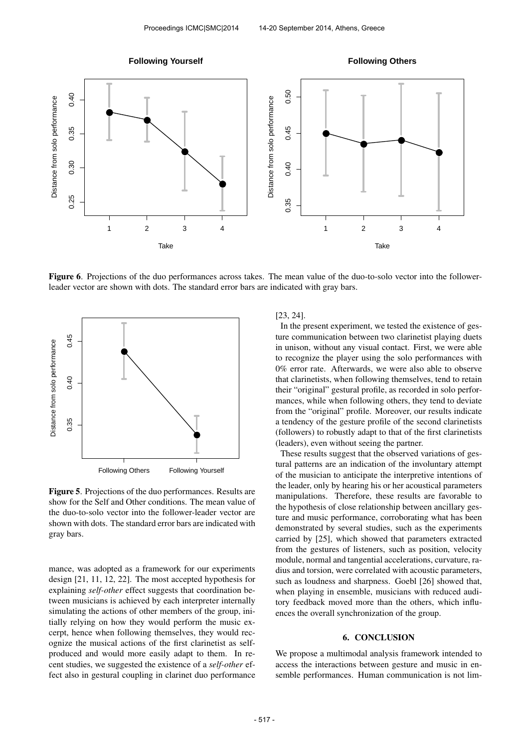

Figure 6. Projections of the duo performances across takes. The mean value of the duo-to-solo vector into the followerleader vector are shown with dots. The standard error bars are indicated with gray bars.



Figure 5. Projections of the duo performances. Results are show for the Self and Other conditions. The mean value of the duo-to-solo vector into the follower-leader vector are shown with dots. The standard error bars are indicated with gray bars.

mance, was adopted as a framework for our experiments design [21, 11, 12, 22]. The most accepted hypothesis for explaining *self-other* effect suggests that coordination between musicians is achieved by each interpreter internally simulating the actions of other members of the group, initially relying on how they would perform the music excerpt, hence when following themselves, they would recognize the musical actions of the first clarinetist as selfproduced and would more easily adapt to them. In recent studies, we suggested the existence of a *self-other* effect also in gestural coupling in clarinet duo performance

## [23, 24].

In the present experiment, we tested the existence of gesture communication between two clarinetist playing duets in unison, without any visual contact. First, we were able to recognize the player using the solo performances with 0% error rate. Afterwards, we were also able to observe that clarinetists, when following themselves, tend to retain their "original" gestural profile, as recorded in solo performances, while when following others, they tend to deviate from the "original" profile. Moreover, our results indicate a tendency of the gesture profile of the second clarinetists (followers) to robustly adapt to that of the first clarinetists (leaders), even without seeing the partner.

These results suggest that the observed variations of gestural patterns are an indication of the involuntary attempt of the musician to anticipate the interpretive intentions of the leader, only by hearing his or her acoustical parameters manipulations. Therefore, these results are favorable to the hypothesis of close relationship between ancillary gesture and music performance, corroborating what has been demonstrated by several studies, such as the experiments carried by [25], which showed that parameters extracted from the gestures of listeners, such as position, velocity module, normal and tangential accelerations, curvature, radius and torsion, were correlated with acoustic parameters, such as loudness and sharpness. Goebl [26] showed that, when playing in ensemble, musicians with reduced auditory feedback moved more than the others, which influences the overall synchronization of the group.

## 6. CONCLUSION

We propose a multimodal analysis framework intended to access the interactions between gesture and music in ensemble performances. Human communication is not lim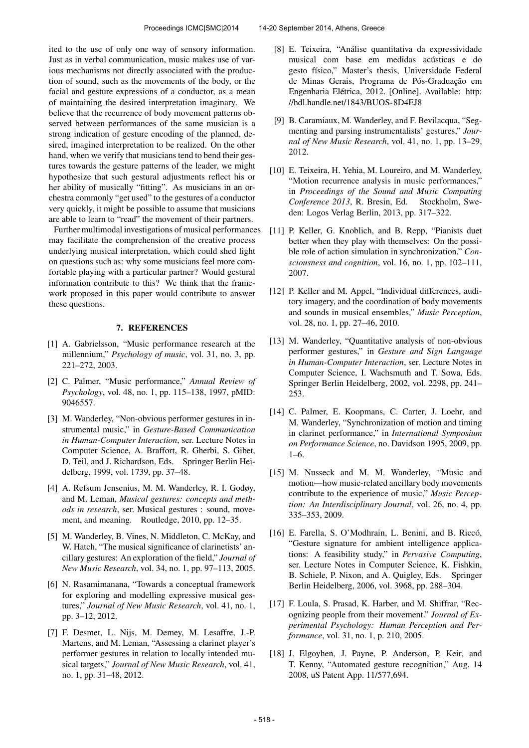ited to the use of only one way of sensory information. Just as in verbal communication, music makes use of various mechanisms not directly associated with the production of sound, such as the movements of the body, or the facial and gesture expressions of a conductor, as a mean of maintaining the desired interpretation imaginary. We believe that the recurrence of body movement patterns observed between performances of the same musician is a strong indication of gesture encoding of the planned, desired, imagined interpretation to be realized. On the other hand, when we verify that musicians tend to bend their gestures towards the gesture patterns of the leader, we might hypothesize that such gestural adjustments reflect his or her ability of musically "fitting". As musicians in an orchestra commonly "get used" to the gestures of a conductor very quickly, it might be possible to assume that musicians are able to learn to "read" the movement of their partners.

Further multimodal investigations of musical performances may facilitate the comprehension of the creative process underlying musical interpretation, which could shed light on questions such as: why some musicians feel more comfortable playing with a particular partner? Would gestural information contribute to this? We think that the framework proposed in this paper would contribute to answer these questions.

## 7. REFERENCES

- [1] A. Gabrielsson, "Music performance research at the millennium," *Psychology of music*, vol. 31, no. 3, pp. 221–272, 2003.
- [2] C. Palmer, "Music performance," *Annual Review of Psychology*, vol. 48, no. 1, pp. 115–138, 1997, pMID: 9046557.
- [3] M. Wanderley, "Non-obvious performer gestures in instrumental music," in *Gesture-Based Communication in Human-Computer Interaction*, ser. Lecture Notes in Computer Science, A. Braffort, R. Gherbi, S. Gibet, D. Teil, and J. Richardson, Eds. Springer Berlin Heidelberg, 1999, vol. 1739, pp. 37–48.
- [4] A. Refsum Jensenius, M. M. Wanderley, R. I. Godøy, and M. Leman, *Musical gestures: concepts and methods in research*, ser. Musical gestures : sound, movement, and meaning. Routledge, 2010, pp. 12–35.
- [5] M. Wanderley, B. Vines, N. Middleton, C. McKay, and W. Hatch, "The musical significance of clarinetists' ancillary gestures: An exploration of the field," *Journal of New Music Research*, vol. 34, no. 1, pp. 97–113, 2005.
- [6] N. Rasamimanana, "Towards a conceptual framework for exploring and modelling expressive musical gestures," *Journal of New Music Research*, vol. 41, no. 1, pp. 3–12, 2012.
- [7] F. Desmet, L. Nijs, M. Demey, M. Lesaffre, J.-P. Martens, and M. Leman, "Assessing a clarinet player's performer gestures in relation to locally intended musical targets," *Journal of New Music Research*, vol. 41, no. 1, pp. 31–48, 2012.
- [8] E. Teixeira, "Análise quantitativa da expressividade musical com base em medidas acústicas e do gesto físico," Master's thesis, Universidade Federal de Minas Gerais, Programa de Pós-Graduação em Engenharia Elétrica, 2012. [Online]. Available: [http:](http://hdl.handle.net/1843/BUOS-8D4EJ8) [//hdl.handle.net/1843/BUOS-8D4EJ8](http://hdl.handle.net/1843/BUOS-8D4EJ8)
- [9] B. Caramiaux, M. Wanderley, and F. Bevilacqua, "Segmenting and parsing instrumentalists' gestures," *Journal of New Music Research*, vol. 41, no. 1, pp. 13–29, 2012.
- [10] E. Teixeira, H. Yehia, M. Loureiro, and M. Wanderley, "Motion recurrence analysis in music performances," in *Proceedings of the Sound and Music Computing Conference 2013*, R. Bresin, Ed. Stockholm, Sweden: Logos Verlag Berlin, 2013, pp. 317–322.
- [11] P. Keller, G. Knoblich, and B. Repp, "Pianists duet better when they play with themselves: On the possible role of action simulation in synchronization," *Consciousness and cognition*, vol. 16, no. 1, pp. 102–111, 2007.
- [12] P. Keller and M. Appel, "Individual differences, auditory imagery, and the coordination of body movements and sounds in musical ensembles," *Music Perception*, vol. 28, no. 1, pp. 27–46, 2010.
- [13] M. Wanderley, "Quantitative analysis of non-obvious performer gestures," in *Gesture and Sign Language in Human-Computer Interaction*, ser. Lecture Notes in Computer Science, I. Wachsmuth and T. Sowa, Eds. Springer Berlin Heidelberg, 2002, vol. 2298, pp. 241– 253.
- [14] C. Palmer, E. Koopmans, C. Carter, J. Loehr, and M. Wanderley, "Synchronization of motion and timing in clarinet performance," in *International Symposium on Performance Science*, no. Davidson 1995, 2009, pp. 1–6.
- [15] M. Nusseck and M. M. Wanderley, "Music and motion—how music-related ancillary body movements contribute to the experience of music," *Music Perception: An Interdisciplinary Journal*, vol. 26, no. 4, pp. 335–353, 2009.
- [16] E. Farella, S. O'Modhrain, L. Benini, and B. Riccó, "Gesture signature for ambient intelligence applications: A feasibility study," in *Pervasive Computing*, ser. Lecture Notes in Computer Science, K. Fishkin, B. Schiele, P. Nixon, and A. Quigley, Eds. Springer Berlin Heidelberg, 2006, vol. 3968, pp. 288–304.
- [17] F. Loula, S. Prasad, K. Harber, and M. Shiffrar, "Recognizing people from their movement." *Journal of Experimental Psychology: Human Perception and Performance*, vol. 31, no. 1, p. 210, 2005.
- [18] J. Elgoyhen, J. Payne, P. Anderson, P. Keir, and T. Kenny, "Automated gesture recognition," Aug. 14 2008, uS Patent App. 11/577,694.